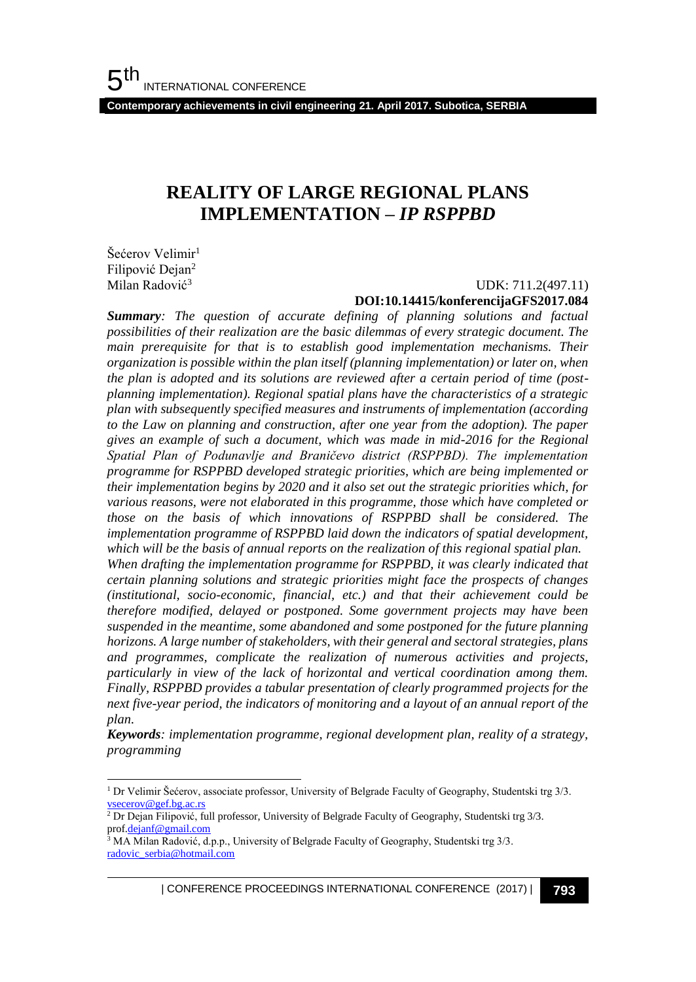**Contemporary achievements in civil engineering 21. April 2017. Subotica, SERBIA**

## **REALITY OF LARGE REGIONAL PLANS IMPLEMENTATION –** *IP RSPPBD*

Šećerov Velimir<sup>1</sup> Filipović Dejan<sup>2</sup> Milan Radović<sup>3</sup>

l

#### UDK: 711.2(497.11) **DOI:10.14415/konferencijaGFS2017.084**

*Summary: The question of accurate defining of planning solutions and factual possibilities of their realization are the basic dilemmas of every strategic document. The main prerequisite for that is to establish good implementation mechanisms. Their organization is possible within the plan itself (planning implementation) or later on, when the plan is adopted and its solutions are reviewed after a certain period of time (postplanning implementation). Regional spatial plans have the characteristics of a strategic plan with subsequently specified measures and instruments of implementation (according to the Law on planning and construction, after one year from the adoption). The paper gives an example of such a document, which was made in mid-2016 for the Regional Spatial Plan of Podunavlje and Braničevo district (RSPPBD). The implementation programme for RSPPBD developed strategic priorities, which are being implemented or their implementation begins by 2020 and it also set out the strategic priorities which, for various reasons, were not elaborated in this programme, those which have completed or those on the basis of which innovations of RSPPBD shall be considered. The implementation programme of RSPPBD laid down the indicators of spatial development, which will be the basis of annual reports on the realization of this regional spatial plan. When drafting the implementation programme for RSPPBD, it was clearly indicated that certain planning solutions and strategic priorities might face the prospects of changes (institutional, socio-economic, financial, etc.) and that their achievement could be therefore modified, delayed or postponed. Some government projects may have been suspended in the meantime, some abandoned and some postponed for the future planning horizons. A large number of stakeholders, with their general and sectoral strategies, plans and programmes, complicate the realization of numerous activities and projects, particularly in view of the lack of horizontal and vertical coordination among them. Finally, RSPPBD provides a tabular presentation of clearly programmed projects for the next five-year period, the indicators of monitoring and a layout of an annual report of the plan.*

*Keywords: implementation programme, regional development plan, reality of a strategy, programming* 

<sup>1</sup> Dr Velimir Šećerov, associate professor, University of Belgrade Faculty of Geography, Studentski trg 3/3. [vsecerov@gef.bg.ac.rs](mailto:vsecerov@gef.bg.ac.rs)

<sup>2</sup> Dr Dejan Filipović, full professor, University of Belgrade Faculty of Geography, Studentski trg 3/3. pro[f.dejanf@gmail.com](mailto:dejanf@gmail.com)

 $3$  MA Milan Radović, d.p.p., University of Belgrade Faculty of Geography, Studentski trg  $3/3$ . [radovic\\_serbia@hotmail.com](mailto:radovic_serbia@hotmail.com)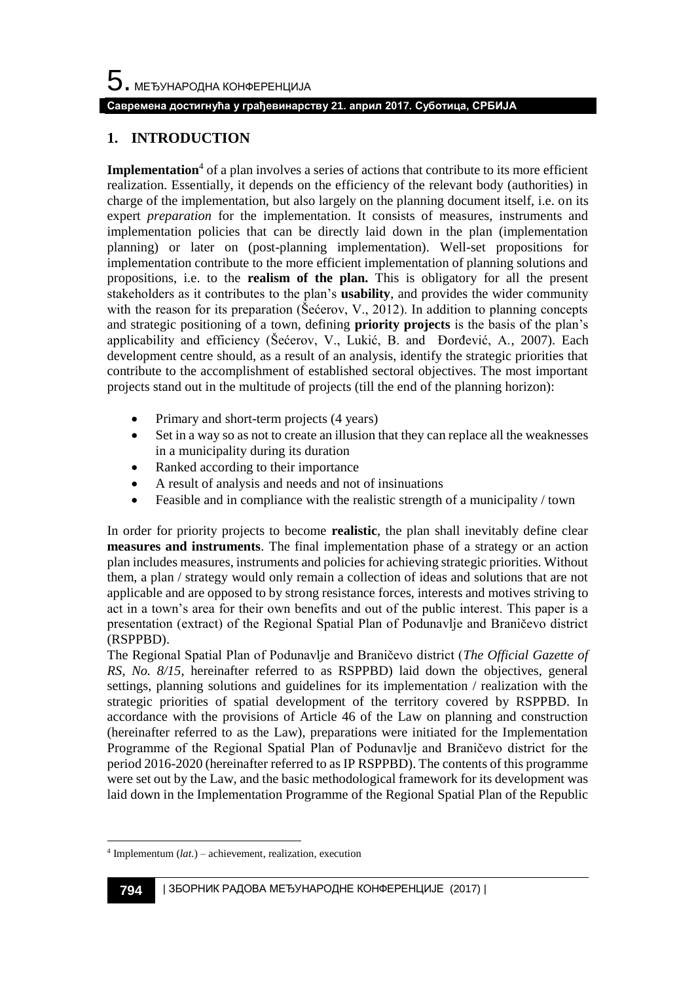## **Савремена достигнућа у грађевинарству 21. април 2017. Суботица, СРБИЈА**

## **1. INTRODUCTION**

**Implementation**<sup>4</sup> of a plan involves a series of actions that contribute to its more efficient realization. Essentially, it depends on the efficiency of the relevant body (authorities) in charge of the implementation, but also largely on the planning document itself, i.e. on its expert *preparation* for the implementation. It consists of measures, instruments and implementation policies that can be directly laid down in the plan (implementation planning) or later on (post-planning implementation). Well-set propositions for implementation contribute to the more efficient implementation of planning solutions and propositions, i.e. to the **realism of the plan.** This is obligatory for all the present stakeholders as it contributes to the plan's **usability**, and provides the wider community with the reason for its preparation (Šećerov, V., 2012). In addition to planning concepts and strategic positioning of a town, defining **priority projects** is the basis of the plan's applicability and efficiency (Šećerov, V., Lukić, B. and Đorđević, A., 2007). Each development centre should, as a result of an analysis, identify the strategic priorities that contribute to the accomplishment of established sectoral objectives. The most important projects stand out in the multitude of projects (till the end of the planning horizon):

- Primary and short-term projects (4 years)
- Set in a way so as not to create an illusion that they can replace all the weaknesses in a municipality during its duration
- Ranked according to their importance
- A result of analysis and needs and not of insinuations
- Feasible and in compliance with the realistic strength of a municipality / town

In order for priority projects to become **realistic**, the plan shall inevitably define clear **measures and instruments**. The final implementation phase of a strategy or an action plan includes measures, instruments and policies for achieving strategic priorities. Without them, a plan / strategy would only remain a collection of ideas and solutions that are not applicable and are opposed to by strong resistance forces, interests and motives striving to act in a town's area for their own benefits and out of the public interest. This paper is a presentation (extract) of the Regional Spatial Plan of Podunavlje and Braničevo district (RSPPBD).

The Regional Spatial Plan of Podunavlje and Braničevo district (*The Official Gazette of RS, No. 8/15*, hereinafter referred to as RSPPBD) laid down the objectives, general settings, planning solutions and guidelines for its implementation / realization with the strategic priorities of spatial development of the territory covered by RSPPBD. In accordance with the provisions of Article 46 of the Law on planning and construction (hereinafter referred to as the Law), preparations were initiated for the Implementation Programme of the Regional Spatial Plan of Podunavlje and Braničevo district for the period 2016-2020 (hereinafter referred to as IP RSPPBD). The contents of this programme were set out by the Law, and the basic methodological framework for its development was laid down in the Implementation Programme of the Regional Spatial Plan of the Republic

l

<sup>4</sup> Implementum (*lat.*) – achievement, realization, execution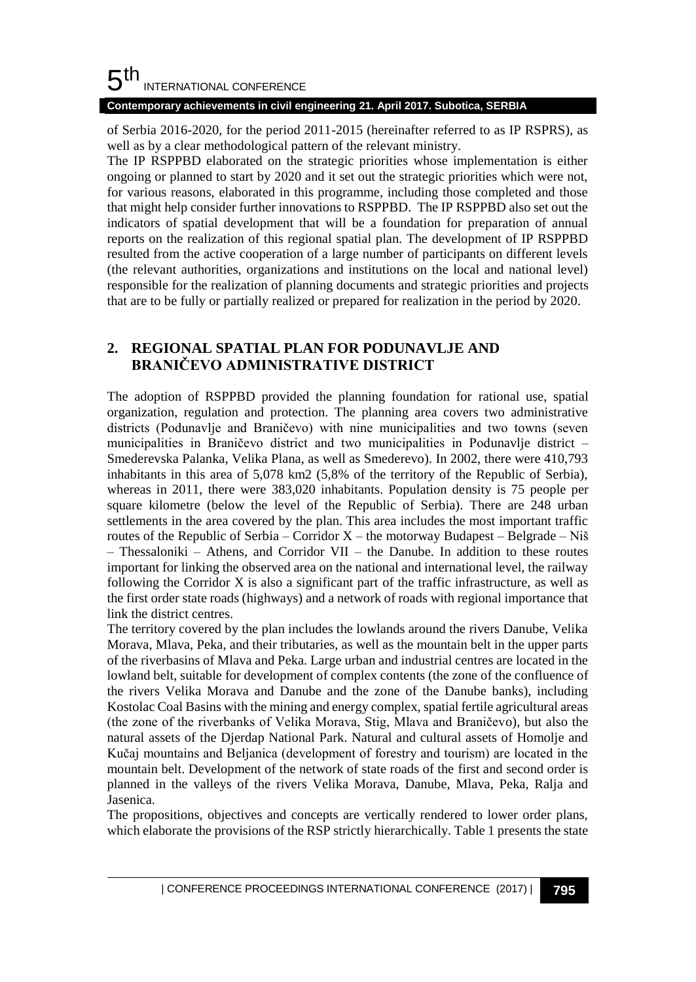#### 5 th INTERNATIONAL CONFERENCE

## **Contemporary achievements in civil engineering 21. April 2017. Subotica, SERBIA**

of Serbia 2016-2020, for the period 2011-2015 (hereinafter referred to as IP RSPRS), as well as by a clear methodological pattern of the relevant ministry.

The IP RSPPBD elaborated on the strategic priorities whose implementation is either ongoing or planned to start by 2020 and it set out the strategic priorities which were not, for various reasons, elaborated in this programme, including those completed and those that might help consider further innovations to RSPPBD. The IP RSPPBD also set out the indicators of spatial development that will be a foundation for preparation of annual reports on the realization of this regional spatial plan. The development of IP RSPPBD resulted from the active cooperation of a large number of participants on different levels (the relevant authorities, organizations and institutions on the local and national level) responsible for the realization of planning documents and strategic priorities and projects that are to be fully or partially realized or prepared for realization in the period by 2020.

## **2. REGIONAL SPATIAL PLAN FOR PODUNAVLJE AND BRANIČEVO ADMINISTRATIVE DISTRICT**

The adoption of RSPPBD provided the planning foundation for rational use, spatial organization, regulation and protection. The planning area covers two administrative districts (Podunavlje and Braničevo) with nine municipalities and two towns (seven municipalities in Braničevo district and two municipalities in Podunavlje district – Smederevska Palanka, Velika Plana, as well as Smederevo). In 2002, there were 410,793 inhabitants in this area of 5,078 km2 (5,8% of the territory of the Republic of Serbia), whereas in 2011, there were 383,020 inhabitants. Population density is 75 people per square kilometre (below the level of the Republic of Serbia). There are 248 urban settlements in the area covered by the plan. This area includes the most important traffic routes of the Republic of Serbia – Corridor  $X$  – the motorway Budapest – Belgrade – Niš – Thessaloniki – Athens, and Corridor VII – the Danube. In addition to these routes important for linking the observed area on the national and international level, the railway following the Corridor X is also a significant part of the traffic infrastructure, as well as the first order state roads (highways) and a network of roads with regional importance that link the district centres.

The territory covered by the plan includes the lowlands around the rivers Danube, Velika Morava, Mlava, Peka, and their tributaries, as well as the mountain belt in the upper parts of the riverbasins of Mlava and Peka. Large urban and industrial centres are located in the lowland belt, suitable for development of complex contents (the zone of the confluence of the rivers Velika Morava and Danube and the zone of the Danube banks), including Kostolac Coal Basins with the mining and energy complex, spatial fertile agricultural areas (the zone of the riverbanks of Velika Morava, Stig, Mlava and Braničevo), but also the natural assets of the Djerdap National Park. Natural and cultural assets of Homolje and Kučaj mountains and Beljanica (development of forestry and tourism) are located in the mountain belt. Development of the network of state roads of the first and second order is planned in the valleys of the rivers Velika Morava, Danube, Mlava, Peka, Ralja and Jasenica.

The propositions, objectives and concepts are vertically rendered to lower order plans, which elaborate the provisions of the RSP strictly hierarchically. Table 1 presents the state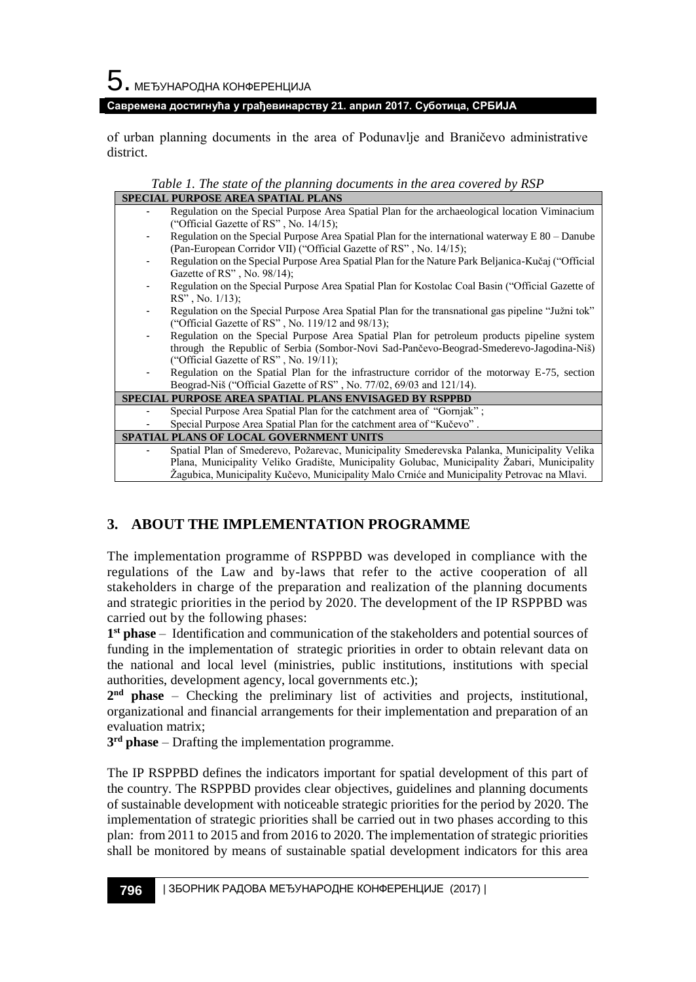$5$ . међународна конференција

#### **Савремена достигнућа у грађевинарству 21. април 2017. Суботица, СРБИЈА**

of urban planning documents in the area of Podunavlje and Braničevo administrative district.

*Table 1. The state of the planning documents in the area covered by RSP*

| <b>SPECIAL PURPOSE AREA SPATIAL PLANS</b>                     |                                                                                                                                                                                                                                                                                            |  |  |  |  |
|---------------------------------------------------------------|--------------------------------------------------------------------------------------------------------------------------------------------------------------------------------------------------------------------------------------------------------------------------------------------|--|--|--|--|
|                                                               | Regulation on the Special Purpose Area Spatial Plan for the archaeological location Viminacium<br>("Official Gazette of RS", No. 14/15);                                                                                                                                                   |  |  |  |  |
|                                                               | Regulation on the Special Purpose Area Spatial Plan for the international waterway $E 80 -$ Danube<br>(Pan-European Corridor VII) ("Official Gazette of RS", No. 14/15);                                                                                                                   |  |  |  |  |
|                                                               | Regulation on the Special Purpose Area Spatial Plan for the Nature Park Beljanica-Kučaj ("Official<br>Gazette of $RS$ ", No. 98/14);                                                                                                                                                       |  |  |  |  |
|                                                               | Regulation on the Special Purpose Area Spatial Plan for Kostolac Coal Basin ("Official Gazette of<br>$RS''$ , No. $1/13$ );                                                                                                                                                                |  |  |  |  |
|                                                               | Regulation on the Special Purpose Area Spatial Plan for the transnational gas pipeline "Južni tok"<br>("Official Gazette of RS", No. 119/12 and 98/13);                                                                                                                                    |  |  |  |  |
| ۰                                                             | Regulation on the Special Purpose Area Spatial Plan for petroleum products pipeline system<br>through the Republic of Serbia (Sombor-Novi Sad-Pančevo-Beograd-Smederevo-Jagodina-Niš)                                                                                                      |  |  |  |  |
|                                                               | ("Official Gazette of RS", No. $19/11$ );                                                                                                                                                                                                                                                  |  |  |  |  |
|                                                               | Regulation on the Spatial Plan for the infrastructure corridor of the motorway E-75, section<br>Beograd-Niš ("Official Gazette of RS", No. 77/02, 69/03 and 121/14).                                                                                                                       |  |  |  |  |
| <b>SPECIAL PURPOSE AREA SPATIAL PLANS ENVISAGED BY RSPPBD</b> |                                                                                                                                                                                                                                                                                            |  |  |  |  |
|                                                               | Special Purpose Area Spatial Plan for the catchment area of "Gornjak";                                                                                                                                                                                                                     |  |  |  |  |
|                                                               | Special Purpose Area Spatial Plan for the catchment area of "Kučevo".                                                                                                                                                                                                                      |  |  |  |  |
| <b>SPATIAL PLANS OF LOCAL GOVERNMENT UNITS</b>                |                                                                                                                                                                                                                                                                                            |  |  |  |  |
|                                                               | Spatial Plan of Smederevo, Požarevac, Municipality Smederevska Palanka, Municipality Velika<br>Plana, Municipality Veliko Gradište, Municipality Golubac, Municipality Žabari, Municipality<br>Žagubica, Municipality Kučevo, Municipality Malo Crniće and Municipality Petrovac na Mlavi. |  |  |  |  |

## **3. ABOUT THE IMPLEMENTATION PROGRAMME**

The implementation programme of RSPPBD was developed in compliance with the regulations of the Law and by-laws that refer to the active cooperation of all stakeholders in charge of the preparation and realization of the planning documents and strategic priorities in the period by 2020. The development of the IP RSPPBD was carried out by the following phases:

**1 st phase** – Identification and communication of the stakeholders and potential sources of funding in the implementation of strategic priorities in order to obtain relevant data on the national and local level (ministries, public institutions, institutions with special authorities, development agency, local governments etc.);

**2 nd phase** – Checking the preliminary list of activities and projects, institutional, organizational and financial arrangements for their implementation and preparation of an evaluation matrix;

**3 rd phase** – Drafting the implementation programme.

The IP RSPPBD defines the indicators important for spatial development of this part of the country. The RSPPBD provides clear objectives, guidelines and planning documents of sustainable development with noticeable strategic priorities for the period by 2020. The implementation of strategic priorities shall be carried out in two phases according to this plan: from 2011 to 2015 and from 2016 to 2020. The implementation of strategic priorities shall be monitored by means of sustainable spatial development indicators for this area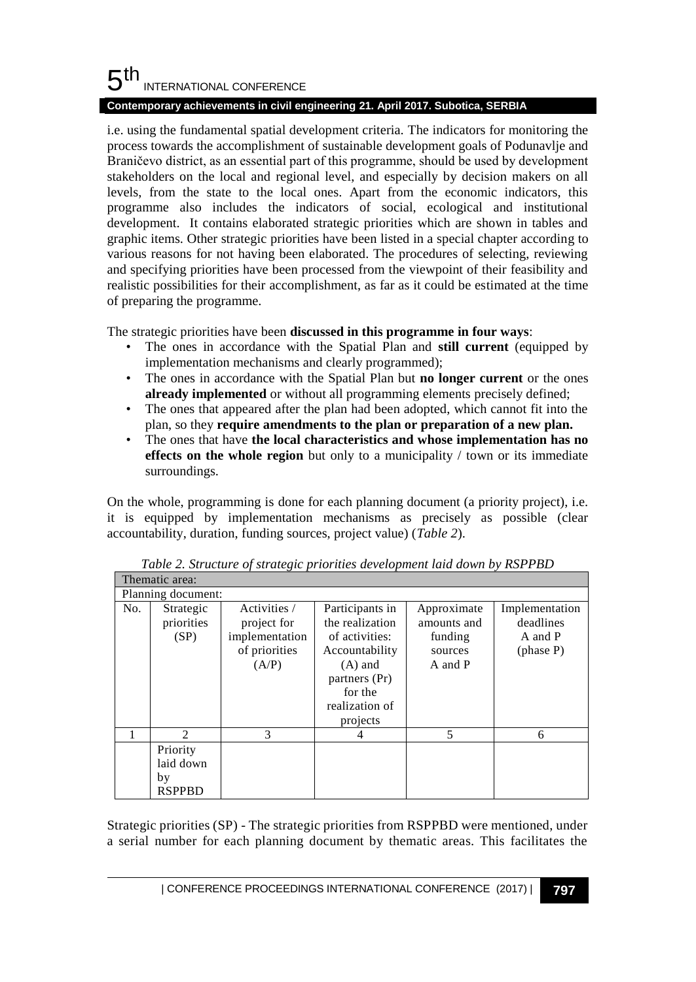#### 5 th INTERNATIONAL CONFERENCE

## **Contemporary achievements in civil engineering 21. April 2017. Subotica, SERBIA**

i.e. using the fundamental spatial development criteria. The indicators for monitoring the process towards the accomplishment of sustainable development goals of Podunavlje and Braničevo district, as an essential part of this programme, should be used by development stakeholders on the local and regional level, and especially by decision makers on all levels, from the state to the local ones. Apart from the economic indicators, this programme also includes the indicators of social, ecological and institutional development. It contains elaborated strategic priorities which are shown in tables and graphic items. Other strategic priorities have been listed in a special chapter according to various reasons for not having been elaborated. The procedures of selecting, reviewing and specifying priorities have been processed from the viewpoint of their feasibility and realistic possibilities for their accomplishment, as far as it could be estimated at the time of preparing the programme.

The strategic priorities have been **discussed in this programme in four ways**:

- The ones in accordance with the Spatial Plan and **still current** (equipped by implementation mechanisms and clearly programmed);
- The ones in accordance with the Spatial Plan but **no longer current** or the ones **already implemented** or without all programming elements precisely defined;
- The ones that appeared after the plan had been adopted, which cannot fit into the plan, so they **require amendments to the plan or preparation of a new plan.**
- The ones that have **the local characteristics and whose implementation has no effects on the whole region** but only to a municipality / town or its immediate surroundings.

On the whole, programming is done for each planning document (a priority project), i.e. it is equipped by implementation mechanisms as precisely as possible (clear accountability, duration, funding sources, project value) (*Table 2*).

| Thematic area:     |                                              |                                                                         |                                                                                                                                               |                                                             |                                                     |  |  |
|--------------------|----------------------------------------------|-------------------------------------------------------------------------|-----------------------------------------------------------------------------------------------------------------------------------------------|-------------------------------------------------------------|-----------------------------------------------------|--|--|
| Planning document: |                                              |                                                                         |                                                                                                                                               |                                                             |                                                     |  |  |
| No.                | Strategic<br>priorities<br>(SP)              | Activities /<br>project for<br>implementation<br>of priorities<br>(A/P) | Participants in<br>the realization<br>of activities:<br>Accountability<br>$(A)$ and<br>partners (Pr)<br>for the<br>realization of<br>projects | Approximate<br>amounts and<br>funding<br>sources<br>A and P | Implementation<br>deadlines<br>A and P<br>(phase P) |  |  |
|                    | 2                                            | 3                                                                       |                                                                                                                                               | 5                                                           | 6                                                   |  |  |
|                    | Priority<br>laid down<br>by<br><b>RSPPBD</b> |                                                                         |                                                                                                                                               |                                                             |                                                     |  |  |

*Table 2. Structure of strategic priorities development laid down by RSPPBD*

Strategic priorities (SP) - The strategic priorities from RSPPBD were mentioned, under a serial number for each planning document by thematic areas. This facilitates the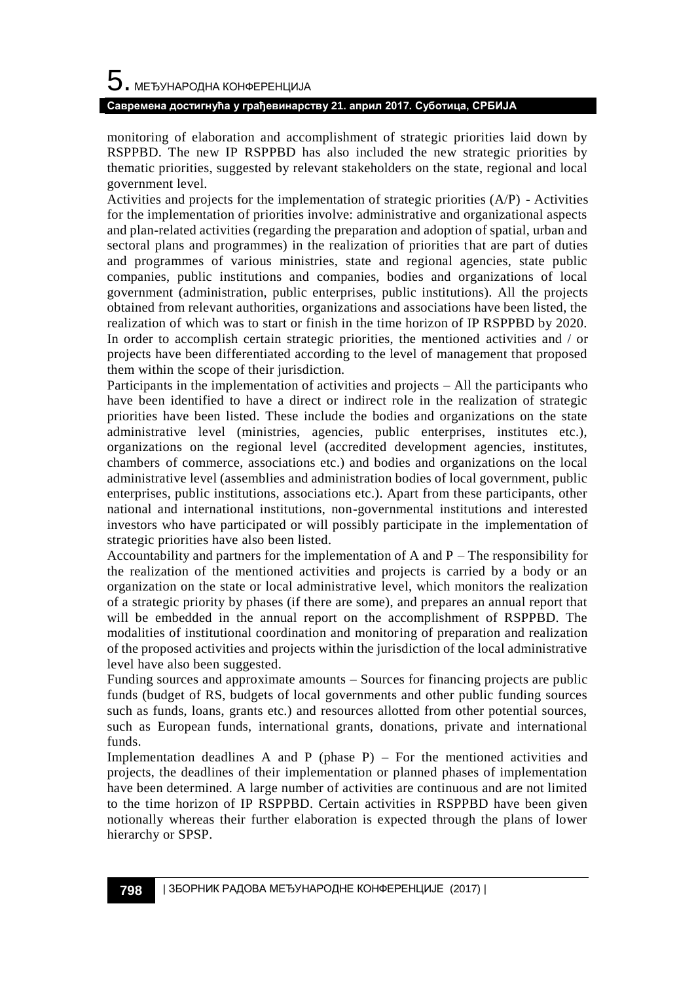# $\mathbf 5$ . међународна конференција **Савремена достигнућа у грађевинарству 21. април 2017. Суботица, СРБИЈА**

monitoring of elaboration and accomplishment of strategic priorities laid down by RSPPBD. The new IP RSPPBD has also included the new strategic priorities by thematic priorities, suggested by relevant stakeholders on the state, regional and local government level.

Activities and projects for the implementation of strategic priorities (A/P) - Activities for the implementation of priorities involve: administrative and organizational aspects and plan-related activities (regarding the preparation and adoption of spatial, urban and sectoral plans and programmes) in the realization of priorities that are part of duties and programmes of various ministries, state and regional agencies, state public companies, public institutions and companies, bodies and organizations of local government (administration, public enterprises, public institutions). All the projects obtained from relevant authorities, organizations and associations have been listed, the realization of which was to start or finish in the time horizon of IP RSPPBD by 2020. In order to accomplish certain strategic priorities, the mentioned activities and / or projects have been differentiated according to the level of management that proposed them within the scope of their jurisdiction.

Participants in the implementation of activities and projects – All the participants who have been identified to have a direct or indirect role in the realization of strategic priorities have been listed. These include the bodies and organizations on the state administrative level (ministries, agencies, public enterprises, institutes etc.), organizations on the regional level (accredited development agencies, institutes, chambers of commerce, associations etc.) and bodies and organizations on the local administrative level (assemblies and administration bodies of local government, public enterprises, public institutions, associations etc.). Apart from these participants, other national and international institutions, non-governmental institutions and interested investors who have participated or will possibly participate in the implementation of strategic priorities have also been listed.

Accountability and partners for the implementation of A and  $P$  – The responsibility for the realization of the mentioned activities and projects is carried by a body or an organization on the state or local administrative level, which monitors the realization of a strategic priority by phases (if there are some), and prepares an annual report that will be embedded in the annual report on the accomplishment of RSPPBD. The modalities of institutional coordination and monitoring of preparation and realization of the proposed activities and projects within the jurisdiction of the local administrative level have also been suggested.

Funding sources and approximate amounts – Sources for financing projects are public funds (budget of RS, budgets of local governments and other public funding sources such as funds, loans, grants etc.) and resources allotted from other potential sources, such as European funds, international grants, donations, private and international funds.

Implementation deadlines A and P (phase  $P$ ) – For the mentioned activities and projects, the deadlines of their implementation or planned phases of implementation have been determined. A large number of activities are continuous and are not limited to the time horizon of IP RSPPBD. Certain activities in RSPPBD have been given notionally whereas their further elaboration is expected through the plans of lower hierarchy or SPSP.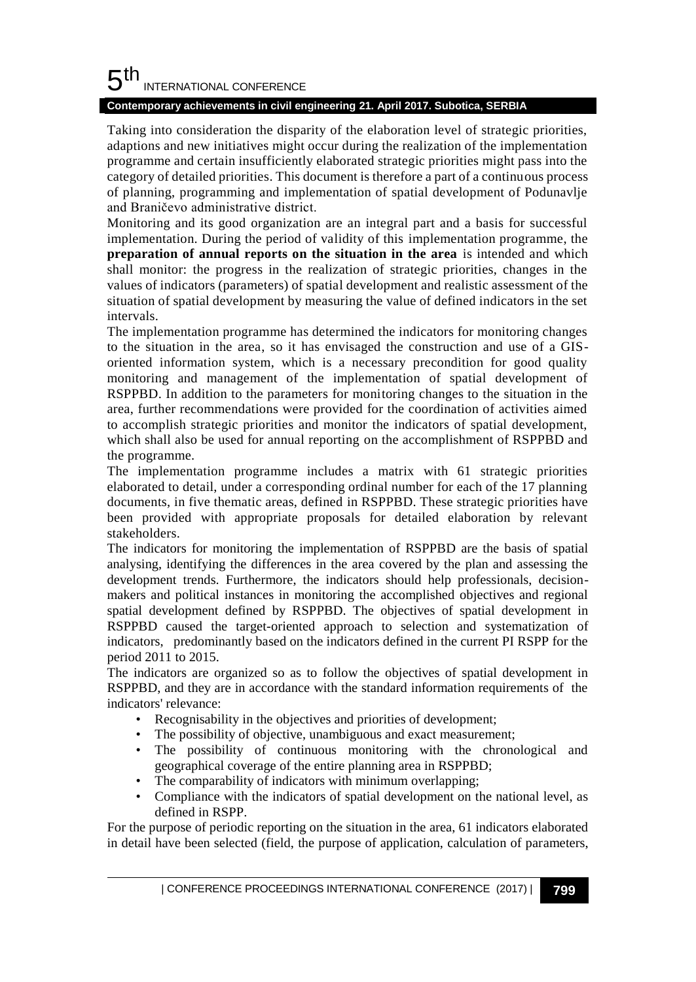#### 5 th INTERNATIONAL CONFERENCE

## **Contemporary achievements in civil engineering 21. April 2017. Subotica, SERBIA**

Taking into consideration the disparity of the elaboration level of strategic priorities, adaptions and new initiatives might occur during the realization of the implementation programme and certain insufficiently elaborated strategic priorities might pass into the category of detailed priorities. This document is therefore a part of a continuous process of planning, programming and implementation of spatial development of Podunavlje and Braničevo administrative district.

Monitoring and its good organization are an integral part and a basis for successful implementation. During the period of validity of this implementation programme, the **preparation of annual reports on the situation in the area** is intended and which shall monitor: the progress in the realization of strategic priorities, changes in the values of indicators (parameters) of spatial development and realistic assessment of the situation of spatial development by measuring the value of defined indicators in the set intervals.

The implementation programme has determined the indicators for monitoring changes to the situation in the area, so it has envisaged the construction and use of a GISoriented information system, which is a necessary precondition for good quality monitoring and management of the implementation of spatial development of RSPPBD. In addition to the parameters for monitoring changes to the situation in the area, further recommendations were provided for the coordination of activities aimed to accomplish strategic priorities and monitor the indicators of spatial development, which shall also be used for annual reporting on the accomplishment of RSPPBD and the programme.

The implementation programme includes a matrix with 61 strategic priorities elaborated to detail, under a corresponding ordinal number for each of the 17 planning documents, in five thematic areas, defined in RSPPBD. These strategic priorities have been provided with appropriate proposals for detailed elaboration by relevant stakeholders.

The indicators for monitoring the implementation of RSPPBD are the basis of spatial analysing, identifying the differences in the area covered by the plan and assessing the development trends. Furthermore, the indicators should help professionals, decisionmakers and political instances in monitoring the accomplished objectives and regional spatial development defined by RSPPBD. The objectives of spatial development in RSPPBD caused the target-oriented approach to selection and systematization of indicators, predominantly based on the indicators defined in the current PI RSPP for the period 2011 to 2015.

The indicators are organized so as to follow the objectives of spatial development in RSPPBD, and they are in accordance with the standard information requirements of the indicators' relevance:

- Recognisability in the objectives and priorities of development;
- The possibility of objective, unambiguous and exact measurement;
- The possibility of continuous monitoring with the chronological and geographical coverage of the entire planning area in RSPPBD;
- The comparability of indicators with minimum overlapping;
- Compliance with the indicators of spatial development on the national level, as defined in RSPP.

For the purpose of periodic reporting on the situation in the area, 61 indicators elaborated in detail have been selected (field, the purpose of application, calculation of parameters,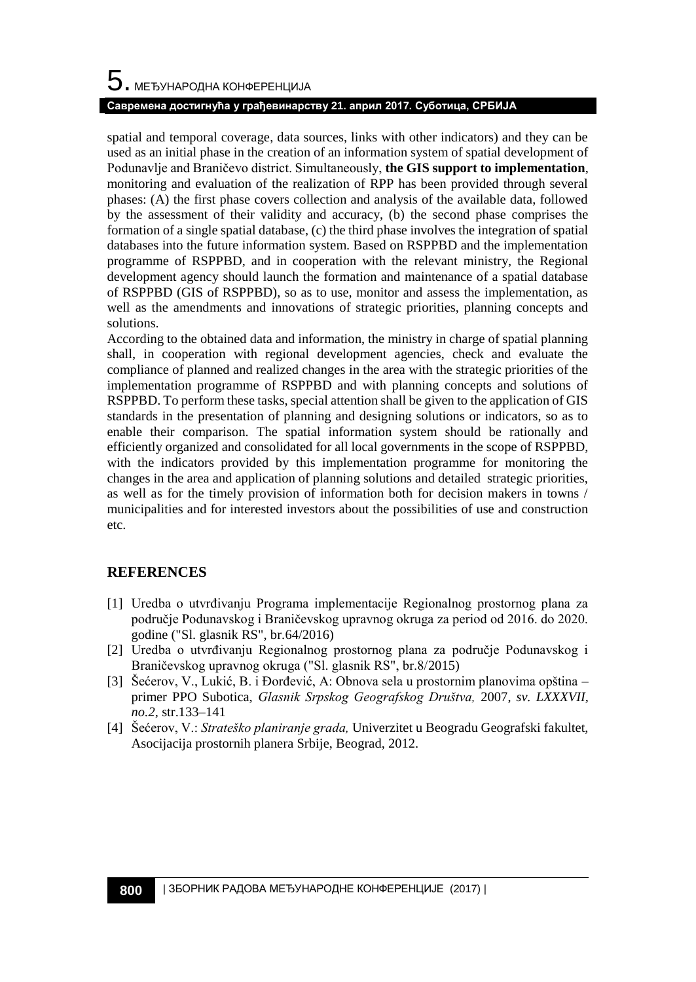## **Савремена достигнућа у грађевинарству 21. април 2017. Суботица, СРБИЈА**

spatial and temporal coverage, data sources, links with other indicators) and they can be used as an initial phase in the creation of an information system of spatial development of Podunavlje and Braničevo district. Simultaneously, **the GIS support to implementation**, monitoring and evaluation of the realization of RPP has been provided through several phases: (A) the first phase covers collection and analysis of the available data, followed by the assessment of their validity and accuracy, (b) the second phase comprises the formation of a single spatial database, (c) the third phase involves the integration of spatial databases into the future information system. Based on RSPPBD and the implementation programme of RSPPBD, and in cooperation with the relevant ministry, the Regional development agency should launch the formation and maintenance of a spatial database of RSPPBD (GIS of RSPPBD), so as to use, monitor and assess the implementation, as well as the amendments and innovations of strategic priorities, planning concepts and solutions.

According to the obtained data and information, the ministry in charge of spatial planning shall, in cooperation with regional development agencies, check and evaluate the compliance of planned and realized changes in the area with the strategic priorities of the implementation programme of RSPPBD and with planning concepts and solutions of RSPPBD. To perform these tasks, special attention shall be given to the application of GIS standards in the presentation of planning and designing solutions or indicators, so as to enable their comparison. The spatial information system should be rationally and efficiently organized and consolidated for all local governments in the scope of RSPPBD, with the indicators provided by this implementation programme for monitoring the changes in the area and application of planning solutions and detailed strategic priorities, as well as for the timely provision of information both for decision makers in towns / municipalities and for interested investors about the possibilities of use and construction etc.

## **REFERENCES**

- [1] Uredba o utvrđivanju Programa implementacije Regionalnog prostornog plana za područje Podunavskog i Braničevskog upravnog okruga za period od 2016. do 2020. godine ("Sl. glasnik RS", br[.64/2016\)](http://slg.bazapropisa.net/64-22-07-2016/34696-uredba-o-utvrdivanju-programa-implementacije-regionalnog-prostornog-plana-za-podrucje-podunavskog-i-branicevskog-upravnog-okruga-za-period-od-2016-do-2020-godine.html)
- [2] Uredba o utvrđivanju Regionalnog prostornog plana za područje Podunavskog i Braničevskog upravnog okruga ("Sl. glasnik RS", br.8[/2015\)](http://slg.bazapropisa.net/64-22-07-2016/34696-uredba-o-utvrdivanju-programa-implementacije-regionalnog-prostornog-plana-za-podrucje-podunavskog-i-branicevskog-upravnog-okruga-za-period-od-2016-do-2020-godine.html)
- [3] Šećerov, V., Lukić, B. i Đorđević, A: Obnova sela u prostornim planovima opština primer PPO Subotica, *Glasnik Srpskog Geografskog Društva,* 2007, *sv. LXXXVII, no.2*, str.133–141
- [4] Šećerov, V.: *Strateško planiranje grada,* Univerzitet u Beogradu Geografski fakultet, Asocijacija prostornih planera Srbije, Beograd, 2012.